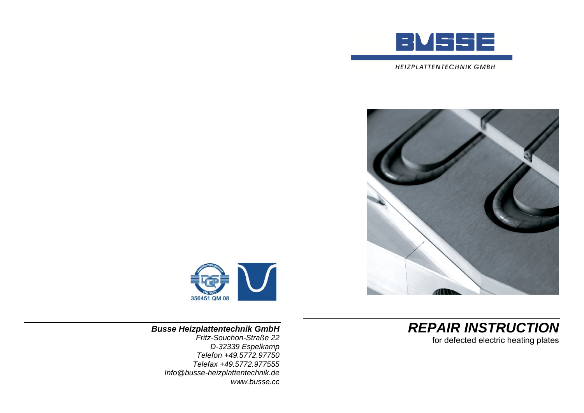





*REPAIR INSTRUCTION*  for defected electric heating plates

*Busse Heizplattentechnik GmbH Fritz-Souchon-Straße 22 D-32339 Espelkamp* 

*Telefon +49.5772.97750 Telefax +49.5772.977555 Info@busse-heizplattentechnik.de www.busse.cc*